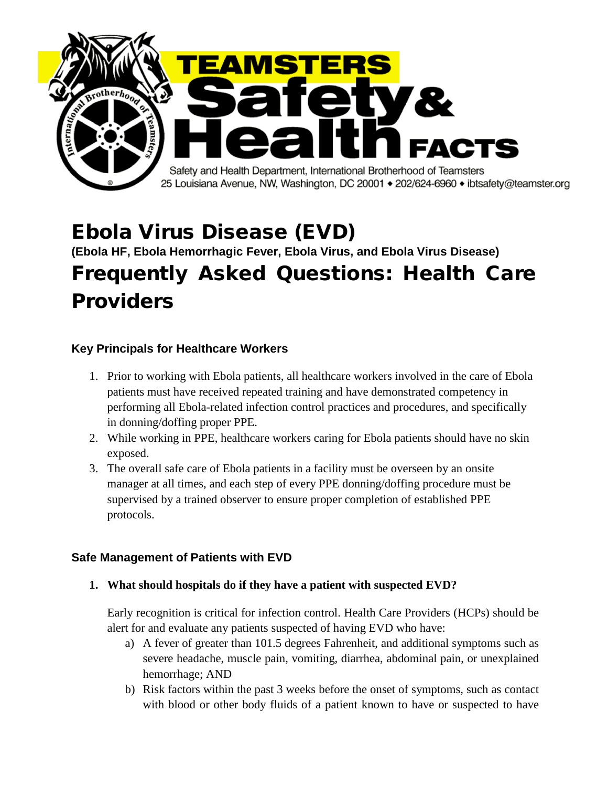

# Ebola Virus Disease (EVD)

# **(Ebola HF, Ebola Hemorrhagic Fever, Ebola Virus, and Ebola Virus Disease)** Frequently Asked Questions: Health Care Providers

## **Key Principals for Healthcare Workers**

- 1. Prior to working with Ebola patients, all healthcare workers involved in the care of Ebola patients must have received repeated training and have demonstrated competency in performing all Ebola-related infection control practices and procedures, and specifically in donning/doffing proper PPE.
- 2. While working in PPE, healthcare workers caring for Ebola patients should have no skin exposed.
- 3. The overall safe care of Ebola patients in a facility must be overseen by an onsite manager at all times, and each step of every PPE donning/doffing procedure must be supervised by a trained observer to ensure proper completion of established PPE protocols.

## **Safe Management of Patients with EVD**

**1. What should hospitals do if they have a patient with suspected EVD?**

Early recognition is critical for infection control. Health Care Providers (HCPs) should be alert for and evaluate any patients suspected of having EVD who have:

- a) A fever of greater than 101.5 degrees Fahrenheit, and additional symptoms such as severe headache, muscle pain, vomiting, diarrhea, abdominal pain, or unexplained hemorrhage; AND
- b) Risk factors within the past 3 weeks before the onset of symptoms, such as contact with blood or other body fluids of a patient known to have or suspected to have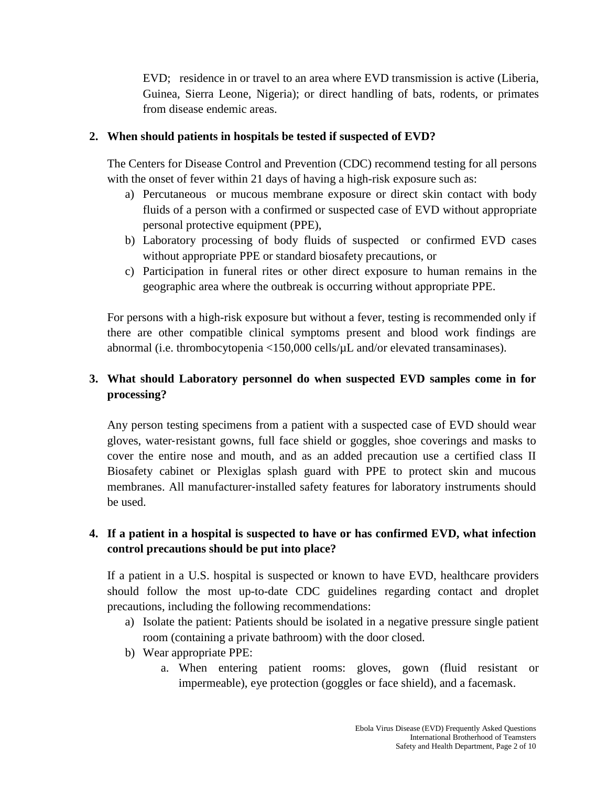EVD; residence in or travel to an area where EVD transmission is active (Liberia, Guinea, Sierra Leone, Nigeria); or direct handling of bats, rodents, or primates from disease endemic areas.

#### **2. When should patients in hospitals be tested if suspected of EVD?**

The Centers for Disease Control and Prevention (CDC) recommend testing for all persons with the onset of fever within 21 days of having a high-risk exposure such as:

- a) Percutaneous or mucous membrane exposure or direct skin contact with body fluids of a person with a confirmed or suspected case of EVD without appropriate personal protective equipment (PPE),
- b) Laboratory processing of body fluids of suspected or confirmed EVD cases without appropriate PPE or standard biosafety precautions, or
- c) Participation in funeral rites or other direct exposure to human remains in the geographic area where the outbreak is occurring without appropriate PPE.

For persons with a high-risk exposure but without a fever, testing is recommended only if there are other compatible clinical symptoms present and blood work findings are abnormal (i.e. thrombocytopenia <150,000 cells/µL and/or elevated transaminases).

# **3. What should Laboratory personnel do when suspected EVD samples come in for processing?**

Any person testing specimens from a patient with a suspected case of EVD should wear gloves, water‐resistant gowns, full face shield or goggles, shoe coverings and masks to cover the entire nose and mouth, and as an added precaution use a certified class II Biosafety cabinet or Plexiglas splash guard with PPE to protect skin and mucous membranes. All manufacturer-installed safety features for laboratory instruments should be used.

# **4. If a patient in a hospital is suspected to have or has confirmed EVD, what infection control precautions should be put into place?**

If a patient in a U.S. hospital is suspected or known to have EVD, healthcare providers should follow the most up-to-date CDC guidelines regarding contact and droplet precautions, including the following recommendations:

- a) Isolate the patient: Patients should be isolated in a negative pressure single patient room (containing a private bathroom) with the door closed.
- b) Wear appropriate PPE:
	- a. When entering patient rooms: gloves, gown (fluid resistant or impermeable), eye protection (goggles or face shield), and a facemask.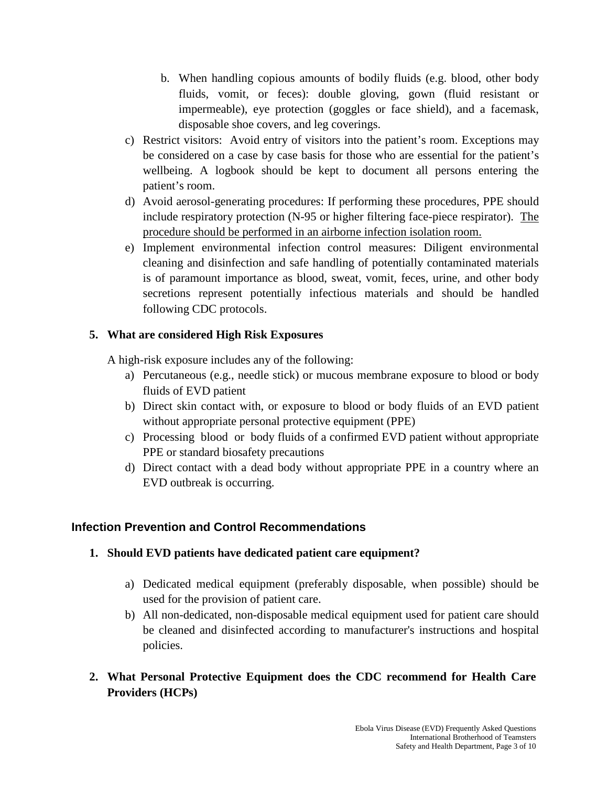- b. When handling copious amounts of bodily fluids (e.g. blood, other body fluids, vomit, or feces): double gloving, gown (fluid resistant or impermeable), eye protection (goggles or face shield), and a facemask, disposable shoe covers, and leg coverings.
- c) Restrict visitors: Avoid entry of visitors into the patient's room. Exceptions may be considered on a case by case basis for those who are essential for the patient's wellbeing. A logbook should be kept to document all persons entering the patient's room.
- d) Avoid aerosol-generating procedures: If performing these procedures, PPE should include respiratory protection (N-95 or higher filtering face-piece respirator). The procedure should be performed in an airborne infection isolation room.
- e) Implement environmental infection control measures: Diligent environmental cleaning and disinfection and safe handling of potentially contaminated materials is of paramount importance as blood, sweat, vomit, feces, urine, and other body secretions represent potentially infectious materials and should be handled following CDC protocols.

## **5. What are considered High Risk Exposures**

A high-risk exposure includes any of the following:

- a) Percutaneous (e.g., needle stick) or mucous membrane exposure to blood or body fluids of EVD patient
- b) Direct skin contact with, or exposure to blood or body fluids of an EVD patient without appropriate personal protective equipment (PPE)
- c) Processing blood or body fluids of a confirmed EVD patient without appropriate PPE or standard biosafety precautions
- d) Direct contact with a dead body without appropriate PPE in a country where an EVD outbreak is occurring.

## **Infection Prevention and Control Recommendations**

## **1. Should EVD patients have dedicated patient care equipment?**

- a) Dedicated medical equipment (preferably disposable, when possible) should be used for the provision of patient care.
- b) All non-dedicated, non-disposable medical equipment used for patient care should be cleaned and disinfected according to manufacturer's instructions and hospital policies.
- **2. What Personal Protective Equipment does the CDC recommend for Health Care Providers (HCPs)**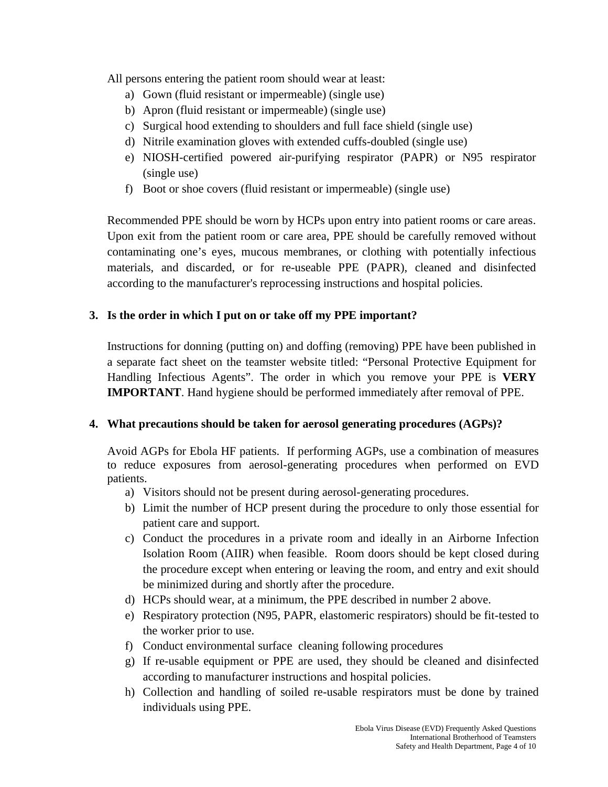All persons entering the patient room should wear at least:

- a) Gown (fluid resistant or impermeable) (single use)
- b) Apron (fluid resistant or impermeable) (single use)
- c) Surgical hood extending to shoulders and full face shield (single use)
- d) Nitrile examination gloves with extended cuffs-doubled (single use)
- e) NIOSH-certified powered air-purifying respirator (PAPR) or N95 respirator (single use)
- f) Boot or shoe covers (fluid resistant or impermeable) (single use)

Recommended PPE should be worn by HCPs upon entry into patient rooms or care areas. Upon exit from the patient room or care area, PPE should be carefully removed without contaminating one's eyes, mucous membranes, or clothing with potentially infectious materials, and discarded, or for re-useable PPE (PAPR), cleaned and disinfected according to the manufacturer's reprocessing instructions and hospital policies.

#### **3. Is the order in which I put on or take off my PPE important?**

Instructions for donning (putting on) and doffing (removing) PPE have been published in a separate fact sheet on the teamster website titled: "Personal Protective Equipment for Handling Infectious Agents". The order in which you remove your PPE is **VERY IMPORTANT**. Hand hygiene should be performed immediately after removal of PPE.

#### **4. What precautions should be taken for aerosol generating procedures (AGPs)?**

Avoid AGPs for Ebola HF patients. If performing AGPs, use a combination of measures to reduce exposures from aerosol-generating procedures when performed on EVD patients.

- a) Visitors should not be present during aerosol-generating procedures.
- b) Limit the number of HCP present during the procedure to only those essential for patient care and support.
- c) Conduct the procedures in a private room and ideally in an Airborne Infection Isolation Room (AIIR) when feasible. Room doors should be kept closed during the procedure except when entering or leaving the room, and entry and exit should be minimized during and shortly after the procedure.
- d) HCPs should wear, at a minimum, the PPE described in number 2 above.
- e) Respiratory protection (N95, PAPR, elastomeric respirators) should be fit-tested to the worker prior to use.
- f) Conduct environmental surface cleaning following procedures
- g) If re-usable equipment or PPE are used, they should be cleaned and disinfected according to manufacturer instructions and hospital policies.
- h) Collection and handling of soiled re-usable respirators must be done by trained individuals using PPE.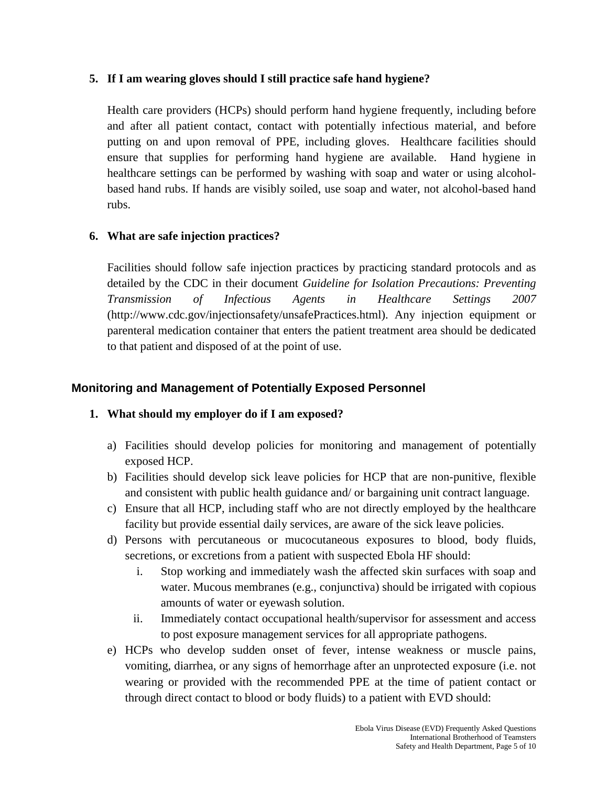#### **5. If I am wearing gloves should I still practice safe hand hygiene?**

Health care providers (HCPs) should perform hand hygiene frequently, including before and after all patient contact, contact with potentially infectious material, and before putting on and upon removal of PPE, including gloves. Healthcare facilities should ensure that supplies for performing hand hygiene are available. Hand hygiene in healthcare settings can be performed by washing with soap and water or using alcoholbased hand rubs. If hands are visibly soiled, use soap and water, not alcohol-based hand rubs.

#### **6. What are safe injection practices?**

Facilities should follow safe injection practices by practicing standard protocols and as detailed by the CDC in their document *Guideline for Isolation Precautions: Preventing Transmission of Infectious Agents in Healthcare Settings 2007* (http://www.cdc.gov/injectionsafety/unsafePractices.html). Any injection equipment or parenteral medication container that enters the patient treatment area should be dedicated to that patient and disposed of at the point of use.

### **Monitoring and Management of Potentially Exposed Personnel**

#### **1. What should my employer do if I am exposed?**

- a) Facilities should develop policies for monitoring and management of potentially exposed HCP.
- b) Facilities should develop sick leave policies for HCP that are non-punitive, flexible and consistent with public health guidance and/ or bargaining unit contract language.
- c) Ensure that all HCP, including staff who are not directly employed by the healthcare facility but provide essential daily services, are aware of the sick leave policies.
- d) Persons with percutaneous or mucocutaneous exposures to blood, body fluids, secretions, or excretions from a patient with suspected Ebola HF should:
	- i. Stop working and immediately wash the affected skin surfaces with soap and water. Mucous membranes (e.g., conjunctiva) should be irrigated with copious amounts of water or eyewash solution.
	- ii. Immediately contact occupational health/supervisor for assessment and access to post exposure management services for all appropriate pathogens.
- e) HCPs who develop sudden onset of fever, intense weakness or muscle pains, vomiting, diarrhea, or any signs of hemorrhage after an unprotected exposure (i.e. not wearing or provided with the recommended PPE at the time of patient contact or through direct contact to blood or body fluids) to a patient with EVD should: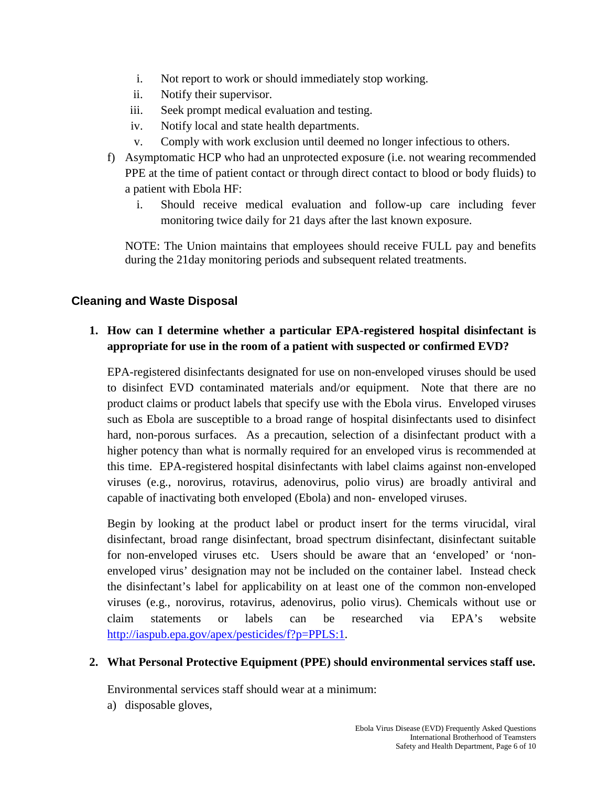- i. Not report to work or should immediately stop working.
- ii. Notify their supervisor.
- iii. Seek prompt medical evaluation and testing.
- iv. Notify local and state health departments.
- v. Comply with work exclusion until deemed no longer infectious to others.
- f) Asymptomatic HCP who had an unprotected exposure (i.e. not wearing recommended PPE at the time of patient contact or through direct contact to blood or body fluids) to a patient with Ebola HF:
	- i. Should receive medical evaluation and follow-up care including fever monitoring twice daily for 21 days after the last known exposure.

NOTE: The Union maintains that employees should receive FULL pay and benefits during the 21day monitoring periods and subsequent related treatments.

## **Cleaning and Waste Disposal**

**1. How can I determine whether a particular EPA-registered hospital disinfectant is appropriate for use in the room of a patient with suspected or confirmed EVD?**

EPA-registered disinfectants designated for use on non-enveloped viruses should be used to disinfect EVD contaminated materials and/or equipment. Note that there are no product claims or product labels that specify use with the Ebola virus. Enveloped viruses such as Ebola are susceptible to a broad range of hospital disinfectants used to disinfect hard, non-porous surfaces. As a precaution, selection of a disinfectant product with a higher potency than what is normally required for an enveloped virus is recommended at this time. EPA-registered hospital disinfectants with label claims against non-enveloped viruses (e.g., norovirus, rotavirus, adenovirus, polio virus) are broadly antiviral and capable of inactivating both enveloped (Ebola) and non- enveloped viruses.

Begin by looking at the product label or product insert for the terms virucidal, viral disinfectant, broad range disinfectant, broad spectrum disinfectant, disinfectant suitable for non-enveloped viruses etc. Users should be aware that an 'enveloped' or 'nonenveloped virus' designation may not be included on the container label. Instead check the disinfectant's label for applicability on at least one of the common non-enveloped viruses (e.g., norovirus, rotavirus, adenovirus, polio virus). Chemicals without use or claim statements or labels can be researched via EPA's website [http://iaspub.epa.gov/apex/pesticides/f?p=PPLS:1.](http://iaspub.epa.gov/apex/pesticides/f?p=PPLS:1)

#### **2. What Personal Protective Equipment (PPE) should environmental services staff use.**

Environmental services staff should wear at a minimum:

a) disposable gloves,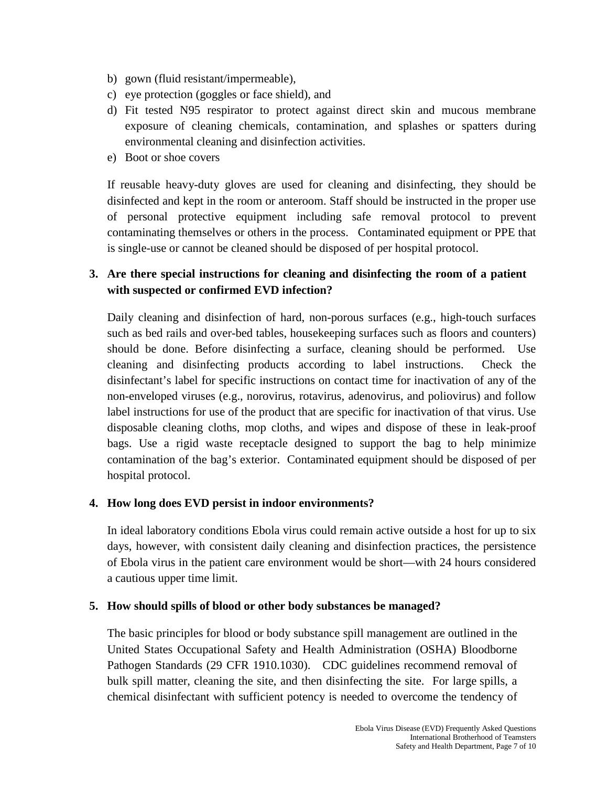- b) gown (fluid resistant/impermeable),
- c) eye protection (goggles or face shield), and
- d) Fit tested N95 respirator to protect against direct skin and mucous membrane exposure of cleaning chemicals, contamination, and splashes or spatters during environmental cleaning and disinfection activities.
- e) Boot or shoe covers

If reusable heavy-duty gloves are used for cleaning and disinfecting, they should be disinfected and kept in the room or anteroom. Staff should be instructed in the proper use of personal protective equipment including safe removal protocol to prevent contaminating themselves or others in the process. Contaminated equipment or PPE that is single-use or cannot be cleaned should be disposed of per hospital protocol.

## **3. Are there special instructions for cleaning and disinfecting the room of a patient with suspected or confirmed EVD infection?**

Daily cleaning and disinfection of hard, non-porous surfaces (e.g., high-touch surfaces such as bed rails and over-bed tables, housekeeping surfaces such as floors and counters) should be done. Before disinfecting a surface, cleaning should be performed. Use cleaning and disinfecting products according to label instructions. Check the disinfectant's label for specific instructions on contact time for inactivation of any of the non-enveloped viruses (e.g., norovirus, rotavirus, adenovirus, and poliovirus) and follow label instructions for use of the product that are specific for inactivation of that virus. Use disposable cleaning cloths, mop cloths, and wipes and dispose of these in leak-proof bags. Use a rigid waste receptacle designed to support the bag to help minimize contamination of the bag's exterior. Contaminated equipment should be disposed of per hospital protocol.

#### **4. How long does EVD persist in indoor environments?**

In ideal laboratory conditions Ebola virus could remain active outside a host for up to six days, however, with consistent daily cleaning and disinfection practices, the persistence of Ebola virus in the patient care environment would be short—with 24 hours considered a cautious upper time limit.

#### **5. How should spills of blood or other body substances be managed?**

The basic principles for blood or body substance spill management are outlined in the United States Occupational Safety and Health Administration (OSHA) Bloodborne Pathogen Standards (29 CFR 1910.1030). CDC guidelines recommend removal of bulk spill matter, cleaning the site, and then disinfecting the site. For large spills, a chemical disinfectant with sufficient potency is needed to overcome the tendency of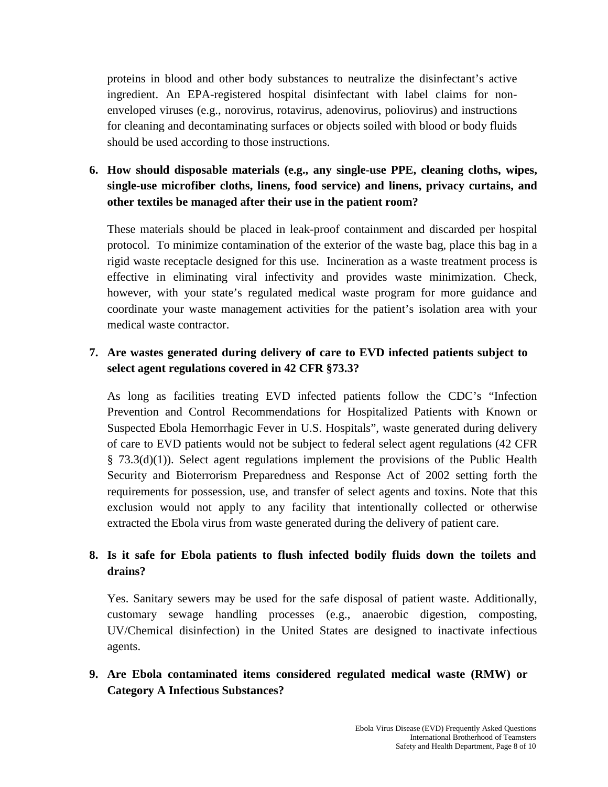proteins in blood and other body substances to neutralize the disinfectant's active ingredient. An EPA-registered hospital disinfectant with label claims for nonenveloped viruses (e.g., norovirus, rotavirus, adenovirus, poliovirus) and instructions for cleaning and decontaminating surfaces or objects soiled with blood or body fluids should be used according to those instructions.

# **6. How should disposable materials (e.g., any single-use PPE, cleaning cloths, wipes, single-use microfiber cloths, linens, food service) and linens, privacy curtains, and other textiles be managed after their use in the patient room?**

These materials should be placed in leak-proof containment and discarded per hospital protocol. To minimize contamination of the exterior of the waste bag, place this bag in a rigid waste receptacle designed for this use. Incineration as a waste treatment process is effective in eliminating viral infectivity and provides waste minimization. Check, however, with your state's regulated medical waste program for more guidance and coordinate your waste management activities for the patient's isolation area with your medical waste contractor.

## **7. Are wastes generated during delivery of care to EVD infected patients subject to select agent regulations covered in 42 CFR §73.3?**

As long as facilities treating EVD infected patients follow the CDC's "Infection Prevention and Control Recommendations for Hospitalized Patients with Known or Suspected Ebola Hemorrhagic Fever in U.S. Hospitals", waste generated during delivery of care to EVD patients would not be subject to federal select agent regulations (42 CFR § 73.3(d)(1)). Select agent regulations implement the provisions of the Public Health Security and Bioterrorism Preparedness and Response Act of 2002 setting forth the requirements for possession, use, and transfer of select agents and toxins. Note that this exclusion would not apply to any facility that intentionally collected or otherwise extracted the Ebola virus from waste generated during the delivery of patient care.

# **8. Is it safe for Ebola patients to flush infected bodily fluids down the toilets and drains?**

Yes. Sanitary sewers may be used for the safe disposal of patient waste. Additionally, customary sewage handling processes (e.g., anaerobic digestion, composting, UV/Chemical disinfection) in the United States are designed to inactivate infectious agents.

# **9. Are Ebola contaminated items considered regulated medical waste (RMW) or Category A Infectious Substances?**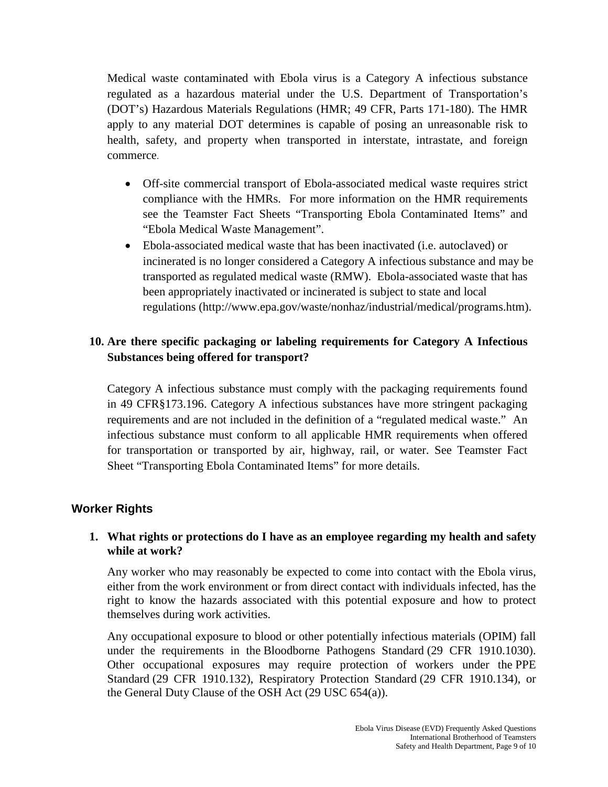Medical waste contaminated with Ebola virus is a Category A infectious substance regulated as a hazardous material under the U.S. Department of Transportation's (DOT's) Hazardous Materials Regulations (HMR; 49 CFR, Parts 171-180). The HMR apply to any material DOT determines is capable of posing an unreasonable risk to health, safety, and property when transported in interstate, intrastate, and foreign commerce.

- Off-site commercial transport of Ebola-associated medical waste requires strict compliance with the HMRs. For more information on the HMR requirements see the Teamster Fact Sheets "Transporting Ebola Contaminated Items" and "Ebola Medical Waste Management".
- Ebola-associated medical waste that has been inactivated (i.e. autoclaved) or incinerated is no longer considered a Category A infectious substance and may be transported as regulated medical waste (RMW). Ebola-associated waste that has been appropriately inactivated or incinerated is subject to state and local regulations [\(http://www.epa.gov/waste/nonhaz/industrial/medical/programs.htm\)](http://www.epa.gov/waste/nonhaz/industrial/medical/programs.htm).

## **10. Are there specific packaging or labeling requirements for Category A Infectious Substances being offered for transport?**

Category A infectious substance must comply with the packaging requirements found in 49 CFR§173.196. Category A infectious substances have more stringent packaging requirements and are not included in the definition of a "regulated medical waste." An infectious substance must conform to all applicable HMR requirements when offered for transportation or transported by air, highway, rail, or water. See Teamster Fact Sheet "Transporting Ebola Contaminated Items" for more details.

## **Worker Rights**

#### **1. What rights or protections do I have as an employee regarding my health and safety while at work?**

Any worker who may reasonably be expected to come into contact with the Ebola virus, either from the work environment or from direct contact with individuals infected, has the right to know the hazards associated with this potential exposure and how to protect themselves during work activities.

Any occupational exposure to blood or other potentially infectious materials (OPIM) fall under the requirements in the [Bloodborne Pathogens Standard](https://www.osha.gov/pls/oshaweb/owadisp.show_document?p_table=STANDARDS&p_id=10051) (29 CFR 1910.1030). Other occupational exposures may require protection of workers under the [PPE](https://www.osha.gov/pls/oshaweb/owadisp.show_document?p_id=9777&p_table=STANDARDS)  [Standard](https://www.osha.gov/pls/oshaweb/owadisp.show_document?p_id=9777&p_table=STANDARDS) (29 CFR 1910.132), [Respiratory Protection Standard](https://www.osha.gov/pls/oshaweb/owadisp.show_document?p_table=standards&p_id=12716) (29 CFR 1910.134), or the [General Duty Clause of the OSH Act](https://www.osha.gov/pls/oshaweb/owadisp.show_document?p_id=3359&p_table=oshact) (29 USC 654(a)).